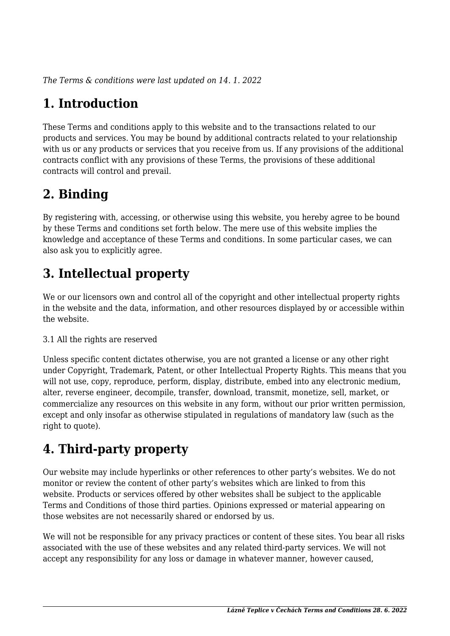*The Terms & conditions were last updated on 14. 1. 2022*

# **1. Introduction**

These Terms and conditions apply to this website and to the transactions related to our products and services. You may be bound by additional contracts related to your relationship with us or any products or services that you receive from us. If any provisions of the additional contracts conflict with any provisions of these Terms, the provisions of these additional contracts will control and prevail.

## **2. Binding**

By registering with, accessing, or otherwise using this website, you hereby agree to be bound by these Terms and conditions set forth below. The mere use of this website implies the knowledge and acceptance of these Terms and conditions. In some particular cases, we can also ask you to explicitly agree.

# **3. Intellectual property**

We or our licensors own and control all of the copyright and other intellectual property rights in the website and the data, information, and other resources displayed by or accessible within the website.

#### 3.1 All the rights are reserved

Unless specific content dictates otherwise, you are not granted a license or any other right under Copyright, Trademark, Patent, or other Intellectual Property Rights. This means that you will not use, copy, reproduce, perform, display, distribute, embed into any electronic medium, alter, reverse engineer, decompile, transfer, download, transmit, monetize, sell, market, or commercialize any resources on this website in any form, without our prior written permission, except and only insofar as otherwise stipulated in regulations of mandatory law (such as the right to quote).

# **4. Third-party property**

Our website may include hyperlinks or other references to other party's websites. We do not monitor or review the content of other party's websites which are linked to from this website. Products or services offered by other websites shall be subject to the applicable Terms and Conditions of those third parties. Opinions expressed or material appearing on those websites are not necessarily shared or endorsed by us.

We will not be responsible for any privacy practices or content of these sites. You bear all risks associated with the use of these websites and any related third-party services. We will not accept any responsibility for any loss or damage in whatever manner, however caused,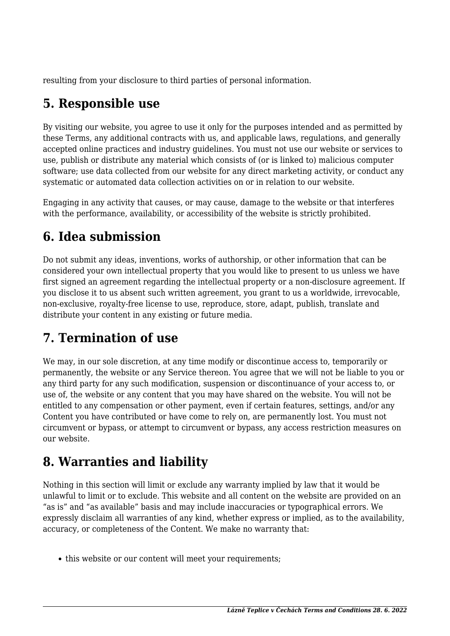resulting from your disclosure to third parties of personal information.

## **5. Responsible use**

By visiting our website, you agree to use it only for the purposes intended and as permitted by these Terms, any additional contracts with us, and applicable laws, regulations, and generally accepted online practices and industry guidelines. You must not use our website or services to use, publish or distribute any material which consists of (or is linked to) malicious computer software; use data collected from our website for any direct marketing activity, or conduct any systematic or automated data collection activities on or in relation to our website.

Engaging in any activity that causes, or may cause, damage to the website or that interferes with the performance, availability, or accessibility of the website is strictly prohibited.

## **6. Idea submission**

Do not submit any ideas, inventions, works of authorship, or other information that can be considered your own intellectual property that you would like to present to us unless we have first signed an agreement regarding the intellectual property or a non-disclosure agreement. If you disclose it to us absent such written agreement, you grant to us a worldwide, irrevocable, non-exclusive, royalty-free license to use, reproduce, store, adapt, publish, translate and distribute your content in any existing or future media.

## **7. Termination of use**

We may, in our sole discretion, at any time modify or discontinue access to, temporarily or permanently, the website or any Service thereon. You agree that we will not be liable to you or any third party for any such modification, suspension or discontinuance of your access to, or use of, the website or any content that you may have shared on the website. You will not be entitled to any compensation or other payment, even if certain features, settings, and/or any Content you have contributed or have come to rely on, are permanently lost. You must not circumvent or bypass, or attempt to circumvent or bypass, any access restriction measures on our website.

## **8. Warranties and liability**

Nothing in this section will limit or exclude any warranty implied by law that it would be unlawful to limit or to exclude. This website and all content on the website are provided on an "as is" and "as available" basis and may include inaccuracies or typographical errors. We expressly disclaim all warranties of any kind, whether express or implied, as to the availability, accuracy, or completeness of the Content. We make no warranty that:

• this website or our content will meet your requirements;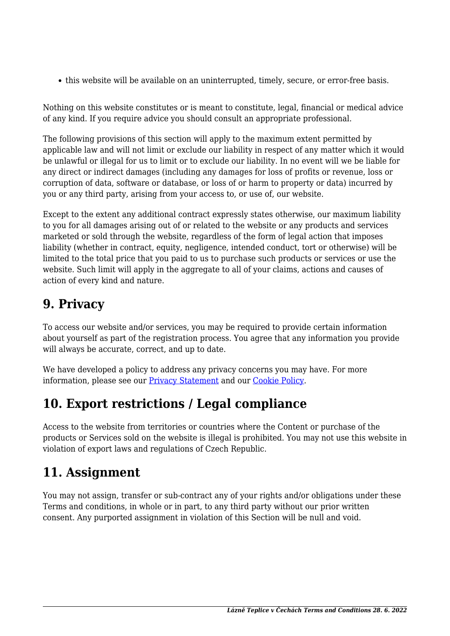this website will be available on an uninterrupted, timely, secure, or error-free basis.

Nothing on this website constitutes or is meant to constitute, legal, financial or medical advice of any kind. If you require advice you should consult an appropriate professional.

The following provisions of this section will apply to the maximum extent permitted by applicable law and will not limit or exclude our liability in respect of any matter which it would be unlawful or illegal for us to limit or to exclude our liability. In no event will we be liable for any direct or indirect damages (including any damages for loss of profits or revenue, loss or corruption of data, software or database, or loss of or harm to property or data) incurred by you or any third party, arising from your access to, or use of, our website.

Except to the extent any additional contract expressly states otherwise, our maximum liability to you for all damages arising out of or related to the website or any products and services marketed or sold through the website, regardless of the form of legal action that imposes liability (whether in contract, equity, negligence, intended conduct, tort or otherwise) will be limited to the total price that you paid to us to purchase such products or services or use the website. Such limit will apply in the aggregate to all of your claims, actions and causes of action of every kind and nature.

#### **9. Privacy**

To access our website and/or services, you may be required to provide certain information about yourself as part of the registration process. You agree that any information you provide will always be accurate, correct, and up to date.

We have developed a policy to address any privacy concerns you may have. For more information, please see our **Privacy Statement** and our **Cookie Policy**.

#### **10. Export restrictions / Legal compliance**

Access to the website from territories or countries where the Content or purchase of the products or Services sold on the website is illegal is prohibited. You may not use this website in violation of export laws and regulations of Czech Republic.

## **11. Assignment**

You may not assign, transfer or sub-contract any of your rights and/or obligations under these Terms and conditions, in whole or in part, to any third party without our prior written consent. Any purported assignment in violation of this Section will be null and void.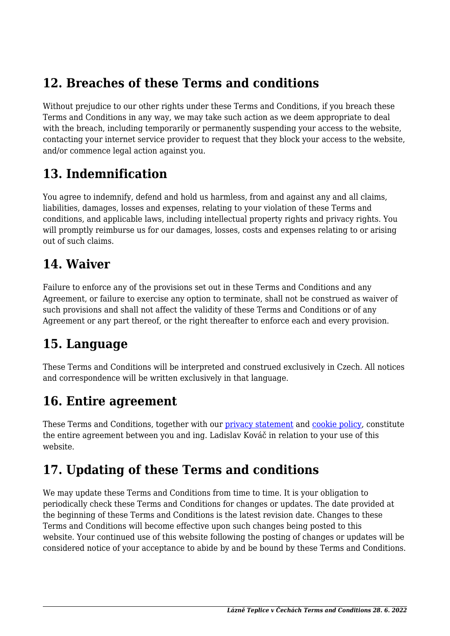#### **12. Breaches of these Terms and conditions**

Without prejudice to our other rights under these Terms and Conditions, if you breach these Terms and Conditions in any way, we may take such action as we deem appropriate to deal with the breach, including temporarily or permanently suspending your access to the website, contacting your internet service provider to request that they block your access to the website, and/or commence legal action against you.

#### **13. Indemnification**

You agree to indemnify, defend and hold us harmless, from and against any and all claims, liabilities, damages, losses and expenses, relating to your violation of these Terms and conditions, and applicable laws, including intellectual property rights and privacy rights. You will promptly reimburse us for our damages, losses, costs and expenses relating to or arising out of such claims.

#### **14. Waiver**

Failure to enforce any of the provisions set out in these Terms and Conditions and any Agreement, or failure to exercise any option to terminate, shall not be construed as waiver of such provisions and shall not affect the validity of these Terms and Conditions or of any Agreement or any part thereof, or the right thereafter to enforce each and every provision.

#### **15. Language**

These Terms and Conditions will be interpreted and construed exclusively in Czech. All notices and correspondence will be written exclusively in that language.

## **16. Entire agreement**

These Terms and Conditions, together with our privacy statement and cookie policy, constitute the entire agreement between you and ing. Ladislav Kováč in relation to your use of this website.

## **17. Updating of these Terms and conditions**

We may update these Terms and Conditions from time to time. It is your obligation to periodically check these Terms and Conditions for changes or updates. The date provided at the beginning of these Terms and Conditions is the latest revision date. Changes to these Terms and Conditions will become effective upon such changes being posted to this website. Your continued use of this website following the posting of changes or updates will be considered notice of your acceptance to abide by and be bound by these Terms and Conditions.